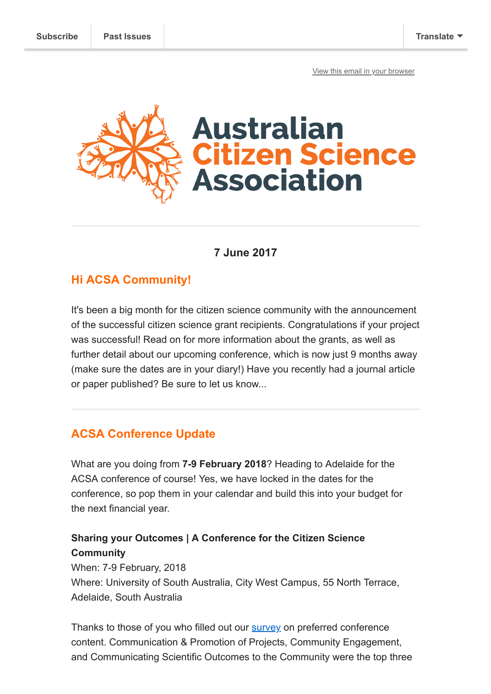[View this email in your browser](https://mailchi.mp/7c36f9a79ccd/conference-dates-and-citizen-science-grants?e=[UNIQID])



# **7 June 2017**

## **Hi ACSA Community!**

It's been a big month for the citizen science community with the announcement of the successful citizen science grant recipients. Congratulations if your project was successful! Read on for more information about the grants, as well as further detail about our upcoming conference, which is now just 9 months away (make sure the dates are in your diary!) Have you recently had a journal article or paper published? Be sure to let us know...

# **ACSA Conference Update**

What are you doing from **7-9 February 2018**? Heading to Adelaide for the ACSA conference of course! Yes, we have locked in the dates for the conference, so pop them in your calendar and build this into your budget for the next financial year.

## **Sharing your Outcomes | A Conference for the Citizen Science Community**

When: 7-9 February, 2018 Where: University of South Australia, City West Campus, 55 North Terrace, Adelaide, South Australia

Thanks to those of you who filled out our **survey** on preferred conference content. Communication & Promotion of Projects, Community Engagement, and Communicating Scientific Outcomes to the Community were the top three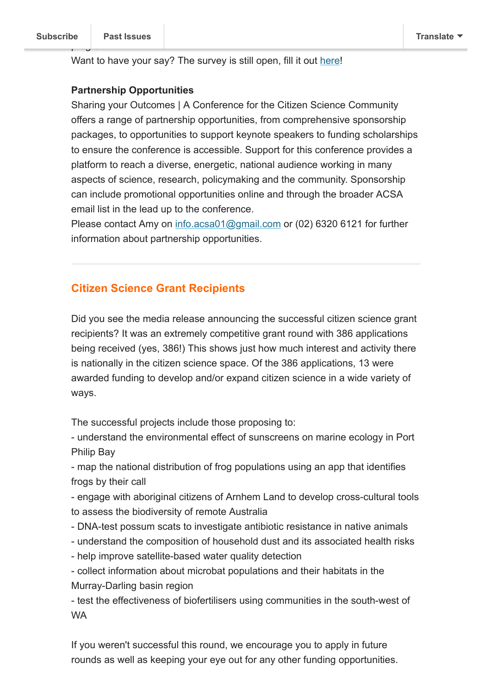Want to have your say? The survey is still open, fill it out [here](https://goo.gl/forms/QNFAiu5PDT9THnI23)!

#### **Partnership Opportunities**

Sharing your Outcomes | A Conference for the Citizen Science Community offers a range of partnership opportunities, from comprehensive sponsorship packages, to opportunities to support keynote speakers to funding scholarships to ensure the conference is accessible. Support for this conference provides a platform to reach a diverse, energetic, national audience working in many aspects of science, research, policymaking and the community. Sponsorship can include promotional opportunities online and through the broader ACSA email list in the lead up to the conference.

Please contact Amy on [info.acsa01@gmail.com](mailto:info.acsa01@gmail.com) or (02) 6320 6121 for further information about partnership opportunities.

### **Citizen Science Grant Recipients**

Did you see the media release announcing the successful citizen science grant recipients? It was an extremely competitive grant round with 386 applications being received (yes, 386!) This shows just how much interest and activity there is nationally in the citizen science space. Of the 386 applications, 13 were awarded funding to develop and/or expand citizen science in a wide variety of ways.

The successful projects include those proposing to:

- understand the environmental effect of sunscreens on marine ecology in Port Philip Bay

- map the national distribution of frog populations using an app that identifies frogs by their call

- engage with aboriginal citizens of Arnhem Land to develop cross-cultural tools to assess the biodiversity of remote Australia

- DNA-test possum scats to investigate antibiotic resistance in native animals
- understand the composition of household dust and its associated health risks
- help improve satellite-based water quality detection

- collect information about microbat populations and their habitats in the Murray-Darling basin region

- test the effectiveness of biofertilisers using communities in the south-west of WA

If you weren't successful this round, we encourage you to apply in future rounds as well as keeping your eye out for any other funding opportunities.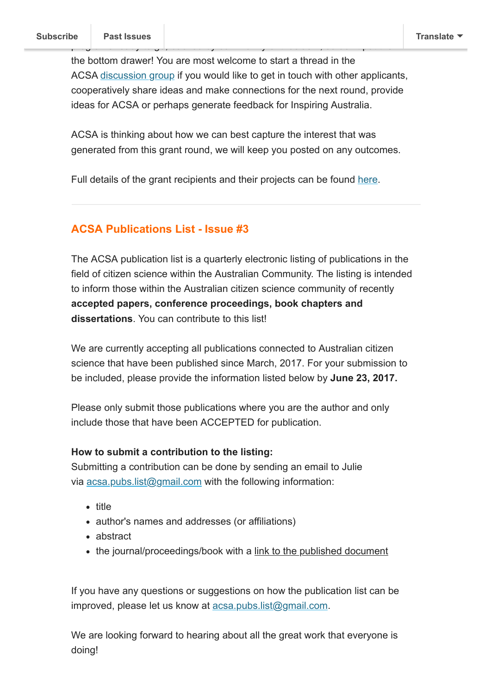the bottom drawer! You are most welcome to start a thread in the ACSA [discussion group](https://groups.google.com/forum/#!forum/citizenscience-australia) if you would like to get in touch with other applicants, cooperatively share ideas and make connections for the next round, provide ideas for ACSA or perhaps generate feedback for Inspiring Australia.

ACSA is thinking about how we can best capture the interest that was generated from this grant round, we will keep you posted on any outcomes.

Full details of the grant recipients and their projects can be found [here](https://www.business.gov.au/assistance/inspiring-australia-science-engagement/citizen-science-grants/citizen-science-grants-grant-recipients).

### **ACSA Publications List - Issue #3**

The ACSA publication list is a quarterly electronic listing of publications in the field of citizen science within the Australian Community. The listing is intended to inform those within the Australian citizen science community of recently **accepted papers, conference proceedings, book chapters and dissertations**. You can contribute to this list!

We are currently accepting all publications connected to Australian citizen science that have been published since March, 2017. For your submission to be included, please provide the information listed below by **June 23, 2017.**

Please only submit those publications where you are the author and only include those that have been ACCEPTED for publication.

#### **How to submit a contribution to the listing:**

Submitting a contribution can be done by sending an email to Julie via [acsa.pubs.list@gmail.com](mailto:acsa.pubs.list@gmail.com) with the following information:

- title
- author's names and addresses (or affiliations)
- abstract
- the journal/proceedings/book with a link to the published document

If you have any questions or suggestions on how the publication list can be improved, please let us know at [acsa.pubs.list@gmail.com](mailto:acsa.pubs.list@gmail.com).

We are looking forward to hearing about all the great work that everyone is doing!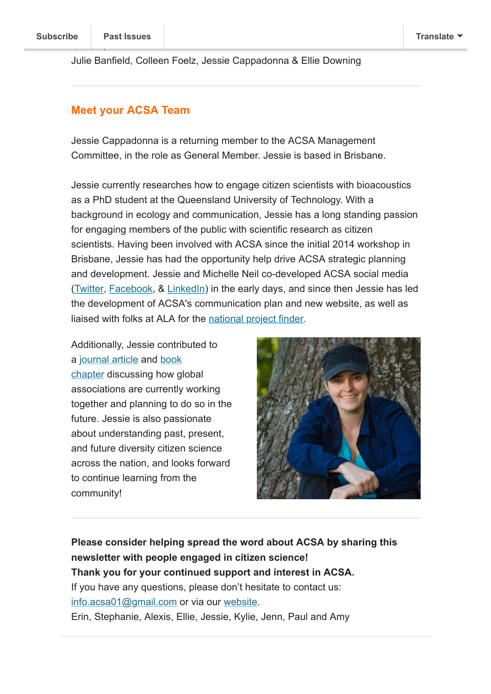Julie Banfield, Colleen Foelz, Jessie Cappadonna & Ellie Downing

### **Meet your ACSA Team**

Jessie Cappadonna is a returning member to the ACSA Management Committee, in the role as General Member. Jessie is based in Brisbane.

Jessie currently researches how to engage citizen scientists with bioacoustics as a PhD student at the Queensland University of Technology. With a background in ecology and communication, Jessie has a long standing passion for engaging members of the public with scientific research as citizen scientists. Having been involved with ACSA since the initial 2014 workshop in Brisbane, Jessie has had the opportunity help drive ACSA strategic planning and development. Jessie and Michelle Neil co-developed ACSA social media ([Twitter,](https://twitter.com/CitSciOZ) [Facebook](https://www.facebook.com/AustralianCitizenScienceAssociation), & [LinkedIn\)](https://www.linkedin.com/grp/home?gid=6721312) in the early days, and since then Jessie has led the development of ACSA's communication plan and new website, as well as liaised with folks at ALA for the [national project finder](https://biocollect.ala.org.au/#isCitizenScience%3Dtrue%26max%3D20%26sort%3DdateCreatedSort%26isWorldWide%3Dfalse).

Additionally, Jessie contributed to [a j](http://doi.org/10.4018/978-1-5225-0962-2.ch002)[ournal article](http://doi.org/10.5334/cstp.55) [and book](http://doi.org/10.4018/978-1-5225-0962-2.ch002) chapter discussing how global associations are currently working together and planning to do so in the future. Jessie is also passionate about understanding past, present, and future diversity citizen science across the nation, and looks forward to continue learning from the community!



**Please consider helping spread the word about ACSA by sharing this newsletter with people engaged in citizen science! Thank you for your continued support and interest in ACSA.** If you have any questions, please don't hesitate to contact us: [info.acsa01@gmail.com](mailto:info.acsa01@gmail.com) or via our [website](http://csna.gaiaresources.com.au/wordpress/contact-us/). Erin, Stephanie, Alexis, Ellie, Jessie, Kylie, Jenn, Paul and Amy